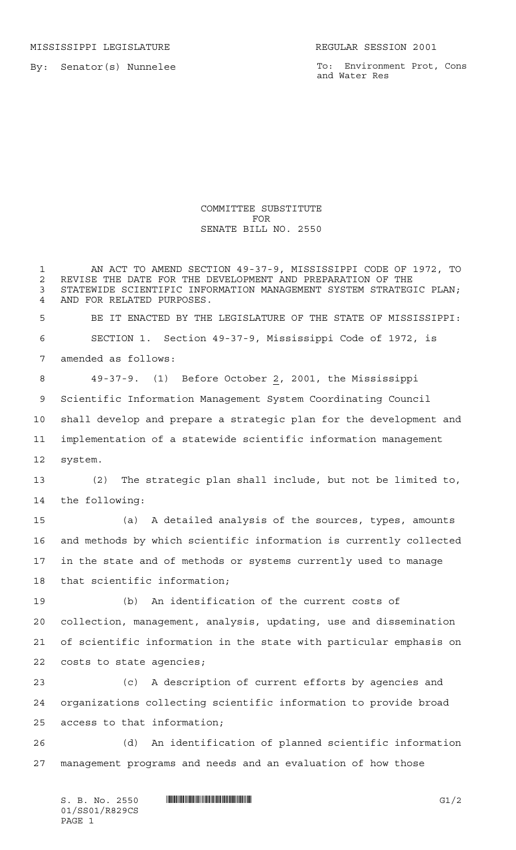MISSISSIPPI LEGISLATURE **REGULAR SESSION 2001** 

By: Senator(s) Nunnelee

To: Environment Prot, Cons and Water Res

## COMMITTEE SUBSTITUTE FOR SENATE BILL NO. 2550

 AN ACT TO AMEND SECTION 49-37-9, MISSISSIPPI CODE OF 1972, TO 2 REVISE THE DATE FOR THE DEVELOPMENT AND PREPARATION OF THE<br>3 STATEWIDE SCIENTIFIC INFORMATION MANAGEMENT SYSTEM STRATEG STATEWIDE SCIENTIFIC INFORMATION MANAGEMENT SYSTEM STRATEGIC PLAN; AND FOR RELATED PURPOSES. BE IT ENACTED BY THE LEGISLATURE OF THE STATE OF MISSISSIPPI: SECTION 1. Section 49-37-9, Mississippi Code of 1972, is amended as follows: 49-37-9. (1) Before October 2, 2001, the Mississippi Scientific Information Management System Coordinating Council shall develop and prepare a strategic plan for the development and implementation of a statewide scientific information management system. (2) The strategic plan shall include, but not be limited to, the following: (a) A detailed analysis of the sources, types, amounts and methods by which scientific information is currently collected in the state and of methods or systems currently used to manage that scientific information; (b) An identification of the current costs of collection, management, analysis, updating, use and dissemination of scientific information in the state with particular emphasis on costs to state agencies; (c) A description of current efforts by agencies and organizations collecting scientific information to provide broad access to that information; (d) An identification of planned scientific information management programs and needs and an evaluation of how those

S. B. No. 2550 \*SS01/R829CS\* G1/2 01/SS01/R829CS PAGE 1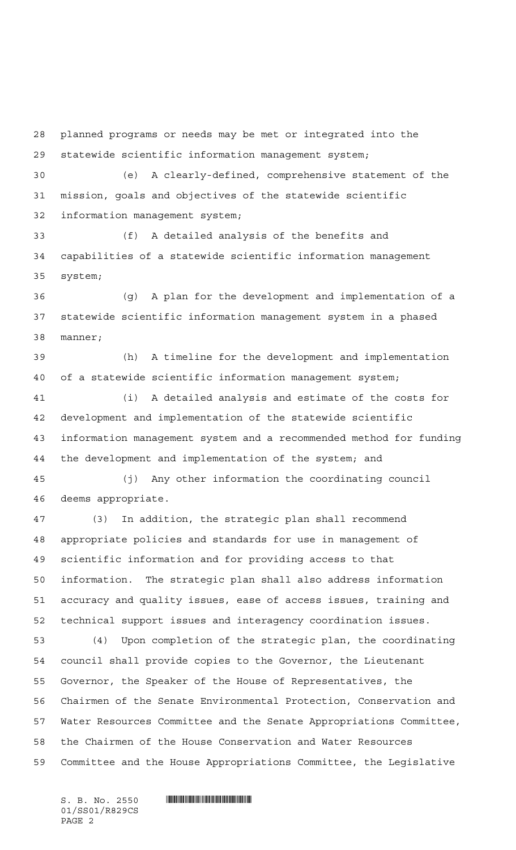planned programs or needs may be met or integrated into the statewide scientific information management system; (e) A clearly-defined, comprehensive statement of the mission, goals and objectives of the statewide scientific information management system; (f) A detailed analysis of the benefits and capabilities of a statewide scientific information management system; (g) A plan for the development and implementation of a statewide scientific information management system in a phased manner; (h) A timeline for the development and implementation of a statewide scientific information management system; (i) A detailed analysis and estimate of the costs for development and implementation of the statewide scientific information management system and a recommended method for funding the development and implementation of the system; and (j) Any other information the coordinating council deems appropriate. (3) In addition, the strategic plan shall recommend appropriate policies and standards for use in management of scientific information and for providing access to that information. The strategic plan shall also address information accuracy and quality issues, ease of access issues, training and technical support issues and interagency coordination issues. (4) Upon completion of the strategic plan, the coordinating council shall provide copies to the Governor, the Lieutenant Governor, the Speaker of the House of Representatives, the Chairmen of the Senate Environmental Protection, Conservation and Water Resources Committee and the Senate Appropriations Committee, the Chairmen of the House Conservation and Water Resources Committee and the House Appropriations Committee, the Legislative

01/SS01/R829CS PAGE 2

 $S.$  B. No. 2550  $\blacksquare$